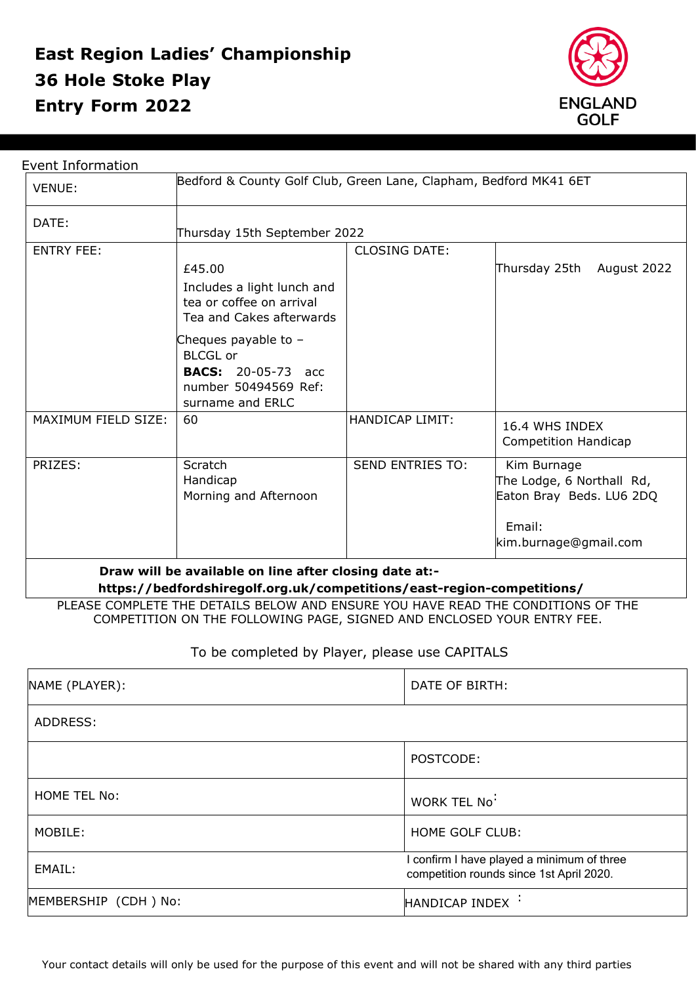## **East Region Ladies' Championship Entry Form 2022 36 Hole Stoke Play**



| DATE:<br>Thursday 15th September 2022<br><b>ENTRY FEE:</b><br><b>CLOSING DATE:</b><br>Thursday 25th<br>£45.00<br>Includes a light lunch and<br>tea or coffee on arrival<br>Tea and Cakes afterwards<br>Cheques payable to $-$<br><b>BLCGL or</b><br><b>BACS:</b> 20-05-73 acc<br>number 50494569 Ref:<br>surname and ERLC<br>MAXIMUM FIELD SIZE:<br><b>HANDICAP LIMIT:</b><br>60<br>16.4 WHS INDEX<br>Scratch<br>PRIZES:<br><b>SEND ENTRIES TO:</b><br>Kim Burnage<br>Handicap<br>Morning and Afternoon<br>Email: | <b>VENUE:</b> | Bedford & County Golf Club, Green Lane, Clapham, Bedford MK41 6ET |  |                                                                                |
|-------------------------------------------------------------------------------------------------------------------------------------------------------------------------------------------------------------------------------------------------------------------------------------------------------------------------------------------------------------------------------------------------------------------------------------------------------------------------------------------------------------------|---------------|-------------------------------------------------------------------|--|--------------------------------------------------------------------------------|
|                                                                                                                                                                                                                                                                                                                                                                                                                                                                                                                   |               |                                                                   |  |                                                                                |
|                                                                                                                                                                                                                                                                                                                                                                                                                                                                                                                   |               |                                                                   |  |                                                                                |
|                                                                                                                                                                                                                                                                                                                                                                                                                                                                                                                   |               |                                                                   |  | August 2022                                                                    |
|                                                                                                                                                                                                                                                                                                                                                                                                                                                                                                                   |               |                                                                   |  |                                                                                |
|                                                                                                                                                                                                                                                                                                                                                                                                                                                                                                                   |               |                                                                   |  | Competition Handicap                                                           |
|                                                                                                                                                                                                                                                                                                                                                                                                                                                                                                                   |               |                                                                   |  | The Lodge, 6 Northall Rd,<br>Eaton Bray Beds. LU6 2DQ<br>kim.burnage@gmail.com |
| Draw will be available on line after closing date at:-<br>https://bedfordshiregolf.org.uk/competitions/east-region-competitions/                                                                                                                                                                                                                                                                                                                                                                                  |               |                                                                   |  |                                                                                |
| PLEASE COMPLETE THE DETAILS BELOW AND ENSURE YOU HAVE READ THE CONDITIONS OF THE                                                                                                                                                                                                                                                                                                                                                                                                                                  |               |                                                                   |  |                                                                                |

## To be completed by Player, please use CAPITALS

| NAME (PLAYER):       | DATE OF BIRTH:                                                                       |  |
|----------------------|--------------------------------------------------------------------------------------|--|
| ADDRESS:             |                                                                                      |  |
|                      | POSTCODE:                                                                            |  |
| HOME TEL No:         | WORK TEL No <sup>:</sup>                                                             |  |
| MOBILE:              | HOME GOLF CLUB:                                                                      |  |
| EMAIL:               | confirm I have played a minimum of three<br>competition rounds since 1st April 2020. |  |
| MEMBERSHIP (CDH) No: | HANDICAP INDEX :                                                                     |  |

Your contact details will only be used for the purpose of this event and will not be shared with any third parties